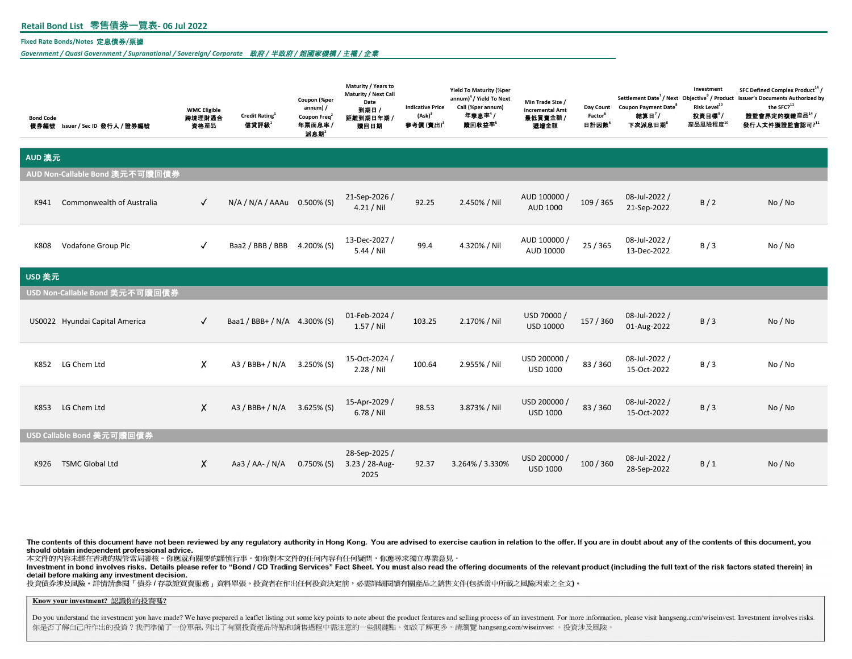# **Retail Bond List 零售債券一覽表- 06 Jul 2022**

### **Fixed Rate Bonds/Notes** 定息債券**/**票據

*Government / Quasi Government / Supranational / Sovereign/ Corporate* 政府 */* 半政府 */* 超國家機構 */* 主權 */* 企業

| <b>Bond Code</b>               | 債券編號 Issuer / Sec ID 發行人 / 證券編號 | <b>WMC Eligible</b><br>跨境理財通合<br>資格產品 | Credit Rating <sup>1</sup><br>信貸評級 | Coupon (%per<br>$annum)$ /<br>Coupon Freq <sup>2</sup><br>年票面息率 /<br>派息期 | Maturity / Years to<br>Maturity / Next Call<br>Date<br>到期日 /<br>距離到期日年期 /<br>贖回日期 | <b>Indicative Price</b><br>$(Ask)^3$<br>参考價(賣出)" | <b>Yield To Maturity (%per</b><br>annum) <sup>4</sup> / Yield To Next<br>Call (%per annum)<br>年 <b>孳息</b> 率 $'$<br>瞳回收益率5 | Min Trade Size /<br><b>Incremental Amt</b><br>最低買賣金額 /<br>显增金額 | Day Count<br>Factor <sup>6</sup><br>日計因數 | <b>Coupon Payment Date<sup>8</sup></b><br>結算日'/<br>下次派息日期 | Investment<br>Risk Level <sup>10</sup><br>投資目標 <sup>9</sup> /<br>產品風險程度10 | SFC Defined Complex Product <sup>14</sup> /<br>Settlement Date <sup>7</sup> / Next Objective <sup>9</sup> / Product Issuer's Documents Authorized by<br>the SFC? <sup>11</sup><br>證監會界定的複雜產品14/<br>發行人文件獲證監會認可?11 |
|--------------------------------|---------------------------------|---------------------------------------|------------------------------------|--------------------------------------------------------------------------|-----------------------------------------------------------------------------------|--------------------------------------------------|---------------------------------------------------------------------------------------------------------------------------|----------------------------------------------------------------|------------------------------------------|-----------------------------------------------------------|---------------------------------------------------------------------------|-------------------------------------------------------------------------------------------------------------------------------------------------------------------------------------------------------------------|
| AUD 澳元                         |                                 |                                       |                                    |                                                                          |                                                                                   |                                                  |                                                                                                                           |                                                                |                                          |                                                           |                                                                           |                                                                                                                                                                                                                   |
| AUD Non-Callable Bond 澳元不可贖回債券 |                                 |                                       |                                    |                                                                          |                                                                                   |                                                  |                                                                                                                           |                                                                |                                          |                                                           |                                                                           |                                                                                                                                                                                                                   |
| K941                           | Commonwealth of Australia       | $\checkmark$                          | N/A / N/A / AAAu 0.500% (S)        |                                                                          | 21-Sep-2026/<br>$4.21 /$ Nil                                                      | 92.25                                            | 2.450% / Nil                                                                                                              | AUD 100000 /<br>AUD 1000                                       | 109 / 365                                | 08-Jul-2022 /<br>21-Sep-2022                              | B/2                                                                       | No / No                                                                                                                                                                                                           |
| K808                           | Vodafone Group Plc              | $\checkmark$                          | Baa2 / BBB / BBB                   | 4.200% (S)                                                               | 13-Dec-2027 /<br>$5.44 /$ Nil                                                     | 99.4                                             | 4.320% / Nil                                                                                                              | AUD 100000 /<br>AUD 10000                                      | 25 / 365                                 | 08-Jul-2022 /<br>13-Dec-2022                              | B/3                                                                       | No/No                                                                                                                                                                                                             |
| USD 美元                         |                                 |                                       |                                    |                                                                          |                                                                                   |                                                  |                                                                                                                           |                                                                |                                          |                                                           |                                                                           |                                                                                                                                                                                                                   |
|                                | USD Non-Callable Bond 美元不可贖回債券  |                                       |                                    |                                                                          |                                                                                   |                                                  |                                                                                                                           |                                                                |                                          |                                                           |                                                                           |                                                                                                                                                                                                                   |
|                                | US0022 Hyundai Capital America  | $\checkmark$                          | Baa1 / BBB+ / N/A 4.300% (S)       |                                                                          | 01-Feb-2024 /<br>$1.57/$ Nil                                                      | 103.25                                           | 2.170% / Nil                                                                                                              | USD 70000 /<br>USD 10000                                       | 157 / 360                                | 08-Jul-2022 /<br>01-Aug-2022                              | B/3                                                                       | No / No                                                                                                                                                                                                           |
| K852                           | LG Chem Ltd                     | X.                                    | $A3 / BBB + / N/A$                 | $3.250\%$ (S)                                                            | 15-Oct-2024 /<br>2.28 / Nil                                                       | 100.64                                           | 2.955% / Nil                                                                                                              | USD 200000 /<br><b>USD 1000</b>                                | 83 / 360                                 | 08-Jul-2022 /<br>15-Oct-2022                              | B/3                                                                       | No / No                                                                                                                                                                                                           |
| K853                           | LG Chem Ltd                     | X                                     | $A3 / BBB + / N/A$                 | $3.625\%$ (S)                                                            | 15-Apr-2029 /<br>6.78 / Nil                                                       | 98.53                                            | 3.873% / Nil                                                                                                              | USD 200000 /<br><b>USD 1000</b>                                | 83 / 360                                 | 08-Jul-2022 /<br>15-Oct-2022                              | B/3                                                                       | No / No                                                                                                                                                                                                           |
| USD Callable Bond 美元可贖回債券      |                                 |                                       |                                    |                                                                          |                                                                                   |                                                  |                                                                                                                           |                                                                |                                          |                                                           |                                                                           |                                                                                                                                                                                                                   |
| K926                           | <b>TSMC Global Ltd</b>          | X.                                    | Aa3 / AA- / N/A                    | $0.750\%$ (S)                                                            | 28-Sep-2025 /<br>3.23 / 28-Aug-<br>2025                                           | 92.37                                            | 3.264% / 3.330%                                                                                                           | USD 200000 /<br><b>USD 1000</b>                                | 100 / 360                                | 08-Jul-2022 /<br>28-Sep-2022                              | B/1                                                                       | No / No                                                                                                                                                                                                           |

The contents of this document have not been reviewed by any regulatory authority in Hong Kong. You are advised to exercise caution in relation to the offer. If you are in doubt about any of the contents of this document, y should obtain independent professional advice.

本文件的内容未經在香港的規管當局審核。你應就有關要約謹慎行事。如你對本文件的任何內容有任何疑問,你應尋求獨立專業意見。

Investment in bond involves risks. Details please refer to "Bond / CD Trading Services" Fact Sheet. You must also read the offering documents of the relevant product (including the full text of the risk factors stated ther detail before making any investment decision.

投資債券涉及風險。詳情請參閱「債券1存款證買賣服務」資料單張。投資者在作出任何投資決定前,必需詳細閱讀有關產品之銷售文件(包括當中所載之風險因素之全文)。

## Know your investment? 認識你的投資嗎?

Do you understand the investment you have made? We have prepared a leaflet listing out some key points to note about the product features and selling process of an investment. For more information, please visit hangseng.co 你是否了解自己所作出的投資?我們準備了一份單張,列出了有關投資產品特點和銷售過程中需注意的一些關鍵點。如欲了解更多,請瀏覽 hangseng.com/wiseinvest 。投資涉及風險。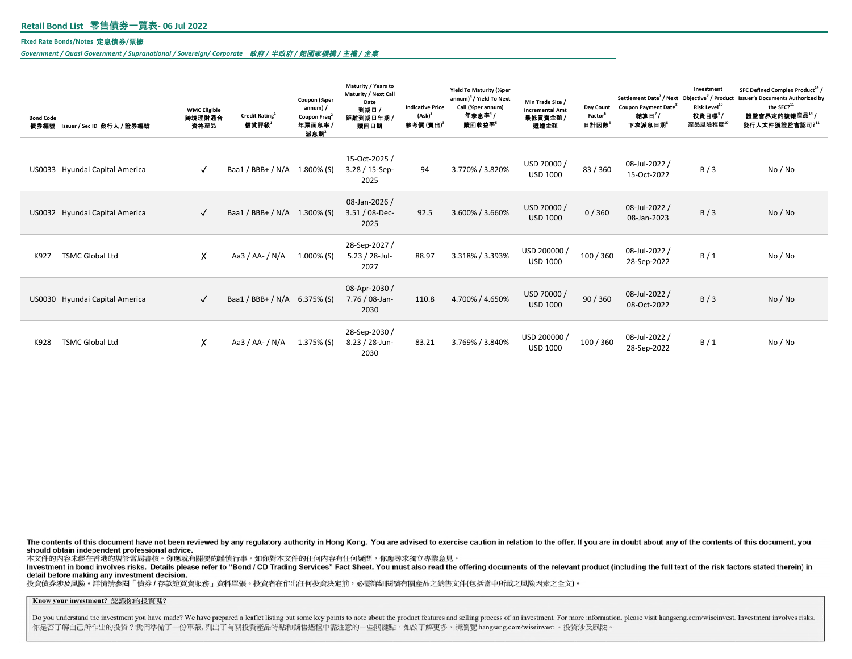### **Fixed Rate Bonds/Notes** 定息債券**/**票據

*Government / Quasi Government / Supranational / Sovereign/ Corporate* 政府 */* 半政府 */* 超國家機構 */* 主權 */* 企業

| <b>Bond Code</b><br>信券編號 | Issuer / Sec ID 發行人 / 證券編號     | <b>WMC Eligible</b><br>跨境理財通合<br>資格產品 | Credit Rating <sup>1</sup><br>信貸評級 | Coupon (%per<br>annum) /<br>Coupon Freq <sup>2</sup><br>年票面息率/<br>派息期 | Maturity / Years to<br>Maturity / Next Call<br>Date<br>到期日 /<br>距離到期日年期<br>瞳回日期 | <b>Indicative Price</b><br>$(Ask)^3$<br>参考價(賣出) | <b>Yield To Maturity (%per</b><br>annum) <sup>4</sup> / Yield To Next<br>Call (%per annum)<br>年華息率 <sup>4</sup><br>瞳回收益率" | Min Trade Size /<br><b>Incremental Amt</b><br>最低買賣金額 /<br>最增金額 | Day Count<br>Factor <sup>6</sup><br>日計因數 | Settlement Date <sup>7</sup> / Next Objective <sup>9</sup> / Product<br><b>Coupon Payment Date<sup>8</sup></b><br>結算日"/<br>下次派息日期 | Investment<br>Risk Level <sup>10</sup><br>投資目標?/<br>產品風險程度10 | SFC Defined Complex Product <sup>14</sup> /<br><b>Issuer's Documents Authorized by</b><br>the SFC? <sup>11</sup><br>證監會界定的複雜產品14<br>發行人文件獲證監會認可?11 |
|--------------------------|--------------------------------|---------------------------------------|------------------------------------|-----------------------------------------------------------------------|---------------------------------------------------------------------------------|-------------------------------------------------|---------------------------------------------------------------------------------------------------------------------------|----------------------------------------------------------------|------------------------------------------|-----------------------------------------------------------------------------------------------------------------------------------|--------------------------------------------------------------|----------------------------------------------------------------------------------------------------------------------------------------------------|
|                          | US0033 Hyundai Capital America | $\checkmark$                          | Baa1 / BBB+ / N/A 1.800% (S)       |                                                                       | 15-Oct-2025 /<br>3.28 / 15-Sep-<br>2025                                         | 94                                              | 3.770% / 3.820%                                                                                                           | USD 70000 /<br><b>USD 1000</b>                                 | 83 / 360                                 | 08-Jul-2022 /<br>15-Oct-2022                                                                                                      | B/3                                                          | No / No                                                                                                                                            |
|                          | US0032 Hyundai Capital America | $\checkmark$                          | Baa1 / BBB+ / N/A 1.300% (S)       |                                                                       | 08-Jan-2026 /<br>3.51 / 08-Dec-<br>2025                                         | 92.5                                            | 3.600% / 3.660%                                                                                                           | USD 70000 /<br><b>USD 1000</b>                                 | 0/360                                    | 08-Jul-2022 /<br>08-Jan-2023                                                                                                      | B/3                                                          | No/No                                                                                                                                              |
| K927                     | <b>TSMC Global Ltd</b>         | X                                     | Aa3 / AA- / N/A                    | $1.000\%$ (S)                                                         | 28-Sep-2027 /<br>$5.23 / 28$ -Jul-<br>2027                                      | 88.97                                           | 3.318% / 3.393%                                                                                                           | USD 200000 /<br><b>USD 1000</b>                                | 100 / 360                                | 08-Jul-2022 /<br>28-Sep-2022                                                                                                      | B/1                                                          | No / No                                                                                                                                            |
|                          | US0030 Hyundai Capital America | $\checkmark$                          | Baa1 / BBB+ / N/A                  | $6.375\%$ (S)                                                         | 08-Apr-2030 /<br>7.76 / 08-Jan-<br>2030                                         | 110.8                                           | 4.700% / 4.650%                                                                                                           | USD 70000 /<br><b>USD 1000</b>                                 | 90/360                                   | 08-Jul-2022 /<br>08-Oct-2022                                                                                                      | B/3                                                          | No/No                                                                                                                                              |
| K928                     | <b>TSMC Global Ltd</b>         | X                                     | Aa3 / AA- / N/A                    | 1.375% (S)                                                            | 28-Sep-2030/<br>8.23 / 28-Jun-<br>2030                                          | 83.21                                           | 3.769% / 3.840%                                                                                                           | USD 200000 /<br><b>USD 1000</b>                                | 100 / 360                                | 08-Jul-2022 /<br>28-Sep-2022                                                                                                      | B/1                                                          | No / No                                                                                                                                            |

The contents of this document have not been reviewed by any regulatory authority in Hong Kong. You are advised to exercise caution in relation to the offer. If you are in doubt about any of the contents of this document, y should obtain independent professional advice.

本文件的内容未經在香港的規管當局審核。你應就有關要約謹慎行事。如你對本文件的任何內容有任何疑問,你應尋求獨立專業意見。

Investment in bond involves risks. Details please refer to "Bond / CD Trading Services" Fact Sheet. You must also read the offering documents of the relevant product (including the full text of the risk factors stated ther detail before making any investment decision.

投資債券涉及風險。詳情請参閱「債券1存款證買賣服務」資料單張。投資者在作出任何投資決定前,必需詳細関讀有關產品之銷售文件(包括當中所載之風險因素之全文)。

Know your investment? 認識你的投資嗎?

Do you understand the investment you have made? We have prepared a leaflet listing out some key points to note about the product features and selling process of an investment. For more information, please visit hangseng.co 你是否了解自己所作出的投資?我們準備了一份單張,列出了有關投資產品特點和銷售過程中需注意的一些關鍵點。如欲了解更多,請瀏覽 hangseng.com/wiseinvest。投資涉及風險。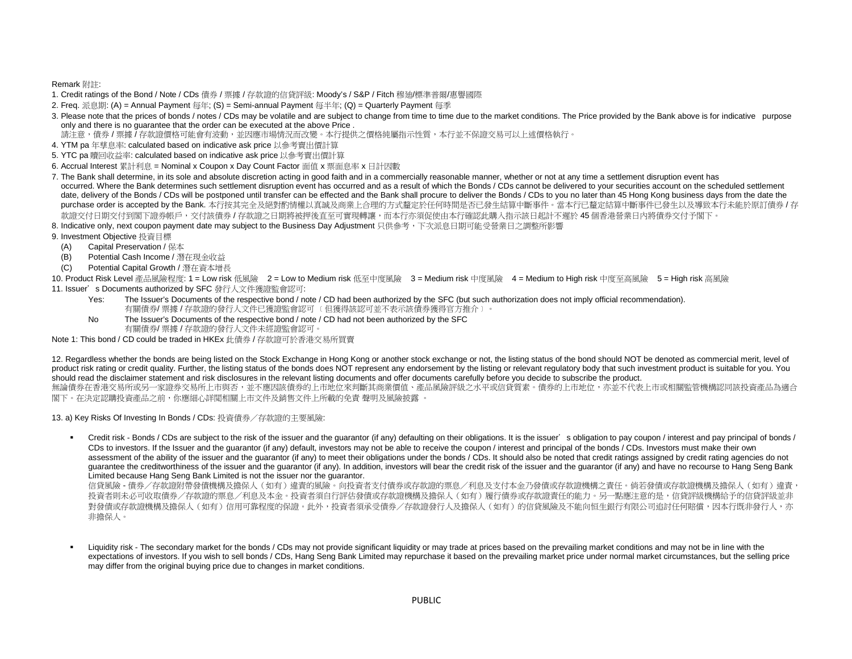Remark 附註:

- 1. Credit ratings of the Bond / Note / CDs 債券 / 票據 / 存款證的信貸評級: Moody's / S&P / Fitch 穆廸/標準普爾/惠譽國際
- 2. Freq. 派息期: (A) = Annual Payment 每年; (S) = Semi-annual Payment 每半年; (Q) = Quarterly Payment 每季
- 3. Please note that the prices of bonds / notes / CDs may be volatile and are subject to change from time to time due to the market conditions. The Price provided by the Bank above is for indicative purpose only and there is no guarantee that the order can be executed at the above Price .
- 請注意,債券 / 票據 / 存款證價格可能會有波動,並因應市場情況而改變。本行提供之價格純屬指示性質,本行並不保證交易可以上述價格執行。
- 4. YTM pa 年孳息率: calculated based on indicative ask price 以參考賣出價計算
- 5. YTC pa 贖回收益率: calculated based on indicative ask price 以參考賣出價計算
- 6. Accrual Interest 累計利息 = Nominal x Coupon x Day Count Factor 面值 x 票面息率 x 日計因數
- 7. The Bank shall determine, in its sole and absolute discretion acting in good faith and in a commercially reasonable manner, whether or not at any time a settlement disruption event has occurred. Where the Bank determines such settlement disruption event has occurred and as a result of which the Bonds / CDs cannot be delivered to your securities account on the scheduled settlement date, delivery of the Bonds / CDs will be postponed until transfer can be effected and the Bank shall procure to deliver the Bonds / CDs to you no later than 45 Hong Kong business days from the date the purchase order is accepted by the Bank. 本行按其完全及絕對酌情權以真誠及商業上合理的方式釐定於任何時間是否已發生結算中斷事件。當本行已釐定結算中斷事件已發生以及導致本行未能於原訂債券/存 款證交付日期交付到閣下證券帳戶,交付該債券 / 存款證之日期將被押後直至可實現轉讓,而本行亦須促使由本行確認此購入指示該日起計不遲於 45 個香港營業日內將債券交付予閣下。
- 8. Indicative only, next coupon payment date may subject to the Business Day Adjustment 只供参考,下次派息日期可能受營業日之調整所影響
- 9. Investment Objective 投資目標
	- (A) Capital Preservation / 保本
	- (B) Potential Cash Income / 潛在現金收益
	- (C) Potential Capital Growth / 潛在資本增長

10. Product Risk Level 產品風險程度: 1 = Low risk 低風險 2 = Low to Medium risk 低至中度風險 3 = Medium risk 中度風險 4 = Medium to High risk 中度至高風險 5 = High risk 高風險 11. Issuer's Documents authorized by SFC 發行人文件獲證監會認可:

- Yes: The Issuer's Documents of the respective bond / note / CD had been authorized by the SFC (but such authorization does not imply official recommendation). 有關債券/ 票據 / 存款證的發行人文件已獲證監會認可 ﹝但獲得該認可並不表示該債券獲得官方推介﹞。
- No The Issuer's Documents of the respective bond / note / CD had not been authorized by the SFC 有關債券/ 票據 / 存款證的發行人文件未經證監會認可。

Note 1: This bond / CD could be traded in HKEx 此債券 / 存款證可於香港交易所買賣

12. Regardless whether the bonds are being listed on the Stock Exchange in Hong Kong or another stock exchange or not, the listing status of the bond should NOT be denoted as commercial merit, level of product risk rating or credit quality. Further, the listing status of the bonds does NOT represent any endorsement by the listing or relevant regulatory body that such investment product is suitable for you. You should read the disclaimer statement and risk disclosures in the relevant listing documents and offer documents carefully before you decide to subscribe the product.

無論債券在香港交易所或另一家證券交易所上市與否,並不應因該債券的上市地位來判斷其商業價值、產品風險評級之水平或信貸質素。債券的上市地位,亦並不代表上市或相關監管機構認同該投資產品為適合 閣下。在決定認購投資產品之前,你應細心詳閲相關上市文件及銷售文件上所載的免責 聲明及風險披露 。

13. a) Key Risks Of Investing In Bonds / CDs: 投資債券/存款證的主要風險:

• Credit risk - Bonds / CDs are subject to the risk of the issuer and the guarantor (if any) defaulting on their obligations. It is the issuer's obligation to pay coupon / interest and pay principal of bonds / CDs to investors. If the Issuer and the quarantor (if any) default, investors may not be able to receive the coupon / interest and principal of the bonds / CDs. Investors must make their own assessment of the ability of the issuer and the guarantor (if any) to meet their obligations under the bonds / CDs. It should also be noted that credit ratings assigned by credit rating agencies do not guarantee the creditworthiness of the issuer and the guarantor (if any). In addition, investors will bear the credit risk of the issuer and the guarantor (if any) and have no recourse to Hang Seng Bank Limited because Hang Seng Bank Limited is not the issuer nor the guarantor.

信貸風險 - 債券/存款證附帶發債機構及擔保人(如有)違責的風險。向投資者支付債券或存款證的票息/利息及支付本金乃發債或存款證機構之責任。倘若發債或存款證機構及擔保人(如有)違責, 投資者則未必可收取債券/存款證的票息/利息及本金。投資者須自行評估發債或存款證機構及擔保人(如有)履行債券或存款證責任的能力。另一點應注意的是,信貸評級機構給予的信貸評級並非 對發債或存款證機構及擔保人(如有)信用可靠程度的保證。此外,投資者須承受債券/存款證發行人及擔保人(如有)的信貸風險及不能向恒生銀行有限公司追討任何賠償,因本行既非發行人,亦 非擔保人。

Liquidity risk - The secondary market for the bonds / CDs may not provide significant liquidity or may trade at prices based on the prevailing market conditions and may not be in line with the expectations of investors. If you wish to sell bonds / CDs, Hang Seng Bank Limited may repurchase it based on the prevailing market price under normal market circumstances, but the selling price may differ from the original buying price due to changes in market conditions.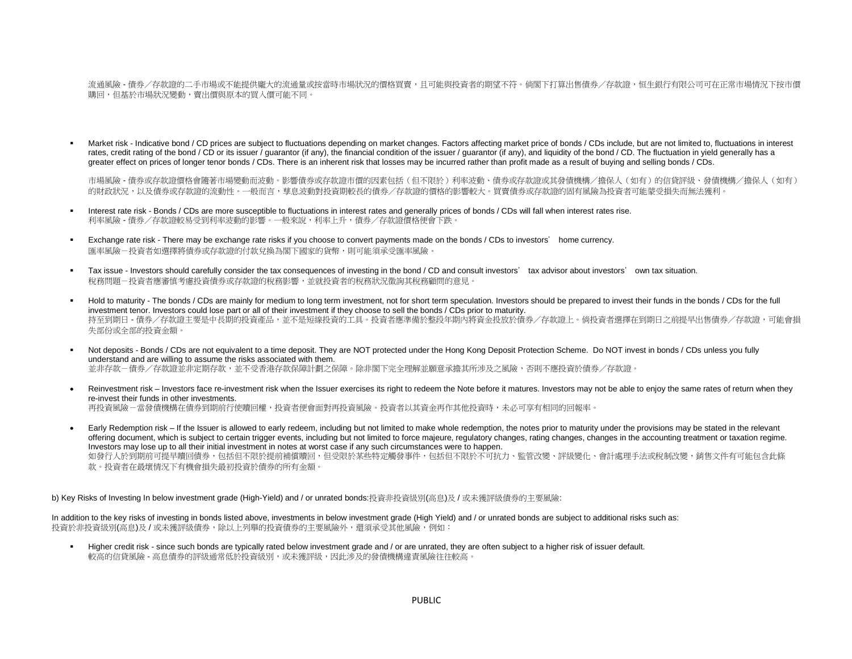流通風險 - 債券/存款證的二手市場或不能提供龐大的流通量或按當時市場狀況的價格買賣,且可能與投資者的期望不符。倘閣下打算出售債券/存款證,恒生銀行有限公司可在正常市場情況下按市價 購回,但基於市場狀況變動,賣出價與原本的買入價可能不同。

Market risk - Indicative bond / CD prices are subject to fluctuations depending on market changes. Factors affecting market price of bonds / CDs include, but are not limited to, fluctuations in interest rates, credit rating of the bond / CD or its issuer / guarantor (if any), the financial condition of the issuer / guarantor (if any), and liquidity of the bond / CD. The fluctuation in yield generally has a greater effect on prices of longer tenor bonds / CDs. There is an inherent risk that losses may be incurred rather than profit made as a result of buying and selling bonds / CDs.

市場風險 - 債券或存款證價格會隨著市場變動而波動。影響債券或存款證市價的因素包括(但不限於)利率波動、債券或存款證或其發債機構/擔保人(如有)的信貸評級、發債機構/擔保人(如有) 的財政狀況,以及債券或存款證的流動性。一般而言,孳息波動對投資期較長的債券/存款證的價格的影響較大。買賣債券或存款證的固有風險為投資者可能蒙受損失而無法獲利。

- Interest rate risk Bonds / CDs are more susceptible to fluctuations in interest rates and generally prices of bonds / CDs will fall when interest rates rise. 利率風險 - 債券/存款證較易受到利率波動的影響。一般來說,利率上升,債券/存款證價格便會下跌。
- Exchange rate risk There may be exchange rate risks if you choose to convert payments made on the bonds / CDs to investors' home currency. 匯率風險-投資者如選擇將債券或存款證的付款兌換為閣下國家的貨幣,則可能須承受匯率風險。
- Tax issue Investors should carefully consider the tax consequences of investing in the bond / CD and consult investors' tax advisor about investors' own tax situation. 稅務問題-投資者應審慎考慮投資債券或存款證的稅務影響,並就投資者的稅務狀況徵詢其稅務顧問的意見。
- Hold to maturity The bonds / CDs are mainly for medium to long term investment, not for short term speculation. Investors should be prepared to invest their funds in the bonds / CDs for the full investment tenor. Investors could lose part or all of their investment if they choose to sell the bonds / CDs prior to maturity. 持至到期日 - 債券/存款證主要是中長期的投資產品,並不是短線投資的工具。投資者應準備於整段年期內將資金投放於債券/存款證上。倘投資者選擇在到期日之前提早出售債券/存款證,可能會損 失部份或全部的投資金額。
- Not deposits Bonds / CDs are not equivalent to a time deposit. They are NOT protected under the Hong Kong Deposit Protection Scheme. Do NOT invest in bonds / CDs unless you fully understand and are willing to assume the risks associated with them. 並非存款-債券/存款證並非定期存款,並不受香港存款保障計劃之保障。除非閣下完全理解並願意承擔其所涉及之風險,否則不應投資於債券/存款證。
- Reinvestment risk Investors face re-investment risk when the Issuer exercises its right to redeem the Note before it matures. Investors may not be able to enjoy the same rates of return when they re-invest their funds in other investments. 再投資風險-當發債機構在債券到期前行使贖回權,投資者便會面對再投資風險。投資者以其資金再作其他投資時,未必可享有相同的回報率。

Early Redemption risk – If the Issuer is allowed to early redeem, including but not limited to make whole redemption, the notes prior to maturity under the provisions may be stated in the relevant offering document, which is subject to certain trigger events, including but not limited to force majeure, regulatory changes, rating changes, changes in the accounting treatment or taxation regime. Investors may lose up to all their initial investment in notes at worst case if any such circumstances were to happen. 如發行人於到期前可提早贖回債券,包括但不限於提前補償贖回,但受限於某些特定觸發事件,包括但不限於不可抗力、監管改變、評級變化、會計處理手法或稅制改變,銷售文件有可能包含此條 款。投資者在最壞情況下有機會損失最初投資於債券的所有金額。

b) Key Risks of Investing In below investment grade (High-Yield) and / or unrated bonds:投資非投資級別(高息)及 / 或未獲評級債券的主要風險:

In addition to the key risks of investing in bonds listed above, investments in below investment grade (High Yield) and / or unrated bonds are subject to additional risks such as: 投資於非投資級別(高息)及 / 或未獲評級債券,除以上列舉的投資債券的主要風險外,還須承受其他風險,例如:

Higher credit risk - since such bonds are typically rated below investment grade and / or are unrated, they are often subject to a higher risk of issuer default. 較高的信貸風險 - 高息債券的評級通常低於投資級別,或未獲評級,因此涉及的發債機構違責風險往往較高。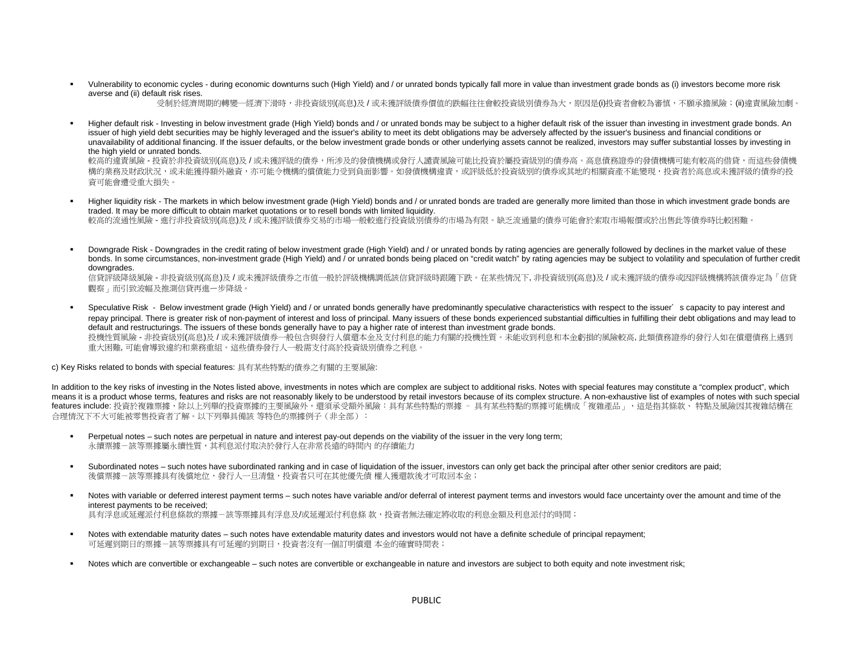Vulnerability to economic cycles - during economic downturns such (High Yield) and / or unrated bonds typically fall more in value than investment grade bonds as (i) investors become more risk averse and (ii) default risk rises.

受制於經濟周期的轉變─經濟下滑時,非投資級別(高息)及/或未獲評級債券價值的跌幅往往會較投資級別債券為大,原因是(i)投資者會較為審慎,不願承擔風險;(ii)違責風險加劇。

Higher default risk - Investing in below investment grade (High Yield) bonds and / or unrated bonds may be subject to a higher default risk of the issuer than investing in investment grade bonds. An issuer of high yield debt securities may be highly leveraged and the issuer's ability to meet its debt obligations may be adversely affected by the issuer's business and financial conditions or unavailability of additional financing. If the issuer defaults, or the below investment grade bonds or other underlying assets cannot be realized, investors may suffer substantial losses by investing in the high yield or unrated bonds.

較高的違責風險 - 投資於非投資級別(高息)及 / 或未獲評級的債券,所涉及的發債機構或發行人譴責風險可能比投資於屬投資級別的債券高。高息債務證券的發債機構可能有較高的借貸,而這些發債機 構的業務及財政狀況,或未能獲得額外融資,亦可能令機構的償債能力受到負面影響。如發債機構違責,或評級低於投資級別的債券或其地的相關資產不能變現,投資者於高息或未獲評級的債券的投 資可能會遭受重大損失。

- Higher liquidity risk The markets in which below investment grade (High Yield) bonds and / or unrated bonds are traded are generally more limited than those in which investment grade bonds are traded. It may be more difficult to obtain market quotations or to resell bonds with limited liquidity. 較高的流通性風險 - 進行非投資級別(高息)及 / 或未獲評級債券交易的市場一般較進行投資級別債券的市場為有限。缺乏流通量的債券可能會於索取市場報價或於出售此等債券時比較困難。
- Downgrade Risk Downgrades in the credit rating of below investment grade (High Yield) and / or unrated bonds by rating agencies are generally followed by declines in the market value of these bonds. In some circumstances, non-investment grade (High Yield) and / or unrated bonds being placed on "credit watch" by rating agencies may be subject to volatility and speculation of further credit downgrades.

信貸評級降級風險 - 非投資級別(高息)及 / 或未獲評級債券之市值一般於評級機構調低該信貸評級時跟隨下跌。在某些情況下, 非投資級別(高息)及 / 或未獲評級的債券戓因評級機構將該債券定為「信貸 觀察」而引致波幅及推測信貸再進ー步降級。

Speculative Risk - Below investment grade (High Yield) and / or unrated bonds generally have predominantly speculative characteristics with respect to the issuer's capacity to pay interest and repay principal. There is greater risk of non-payment of interest and loss of principal. Many issuers of these bonds experienced substantial difficulties in fulfilling their debt obligations and may lead to default and restructurings. The issuers of these bonds generally have to pay a higher rate of interest than investment grade bonds. 投機性質風險 - 非投資級別(高息)及 / 或未獲評級債券一般包含與發行人償還本金及支付利息的能力有關的投機性質。未能收到利息和本金虧損的風險較高, 此類債務證券的發行人如在償還債務上遇到 重大困難, 可能會導致違約和業務重組。這些債券發行人一般需支付高於投資級別債券之利息。

c) Key Risks related to bonds with special features: 具有某些特點的債券之有關的主要風險:

In addition to the key risks of investing in the Notes listed above, investments in notes which are complex are subject to additional risks. Notes with special features may constitute a "complex product", which means it is a product whose terms, features and risks are not reasonably likely to be understood by retail investors because of its complex structure. A non-exhaustive list of examples of notes with such special features include: 投資於複雜票據,除以上列舉的投資票據的主要風險外,還須承受額外風險:具有某些特點的票據 – 具有某些特點的票據可能構成「複雜產品」,這是指其條款、 特點及風險因其複雜結構在 合理情況下不大可能被零售投資者了解。以下列舉具備該 等特色的票據例子(非全部):

- Perpetual notes such notes are perpetual in nature and interest pay-out depends on the viability of the issuer in the very long term; 永續票據-該等票據屬永續性質,其利息派付取決於發行人在非常長遠的時間內 的存續能力
- Subordinated notes such notes have subordinated ranking and in case of liquidation of the issuer, investors can only get back the principal after other senior creditors are paid; 後償票據-該等票據具有後償地位,發行人一旦清盤,投資者只可在其他優先債 權人獲還款後才可取回本金;
- Notes with variable or deferred interest payment terms such notes have variable and/or deferral of interest payment terms and investors would face uncertainty over the amount and time of the interest payments to be received; 具有浮息或延遲派付利息條款的票據一該等票據具有浮息及/或延遲派付利息條 款,投資者無法確定將收取的利息金額及利息派付的時間;
- Notes with extendable maturity dates such notes have extendable maturity dates and investors would not have a definite schedule of principal repayment; 可延遲到期日的票據-該等票據具有可延遲的到期日,投資者沒有一個訂明償還 本金的確實時間表;
- Notes which are convertible or exchangeable such notes are convertible or exchangeable in nature and investors are subject to both equity and note investment risk;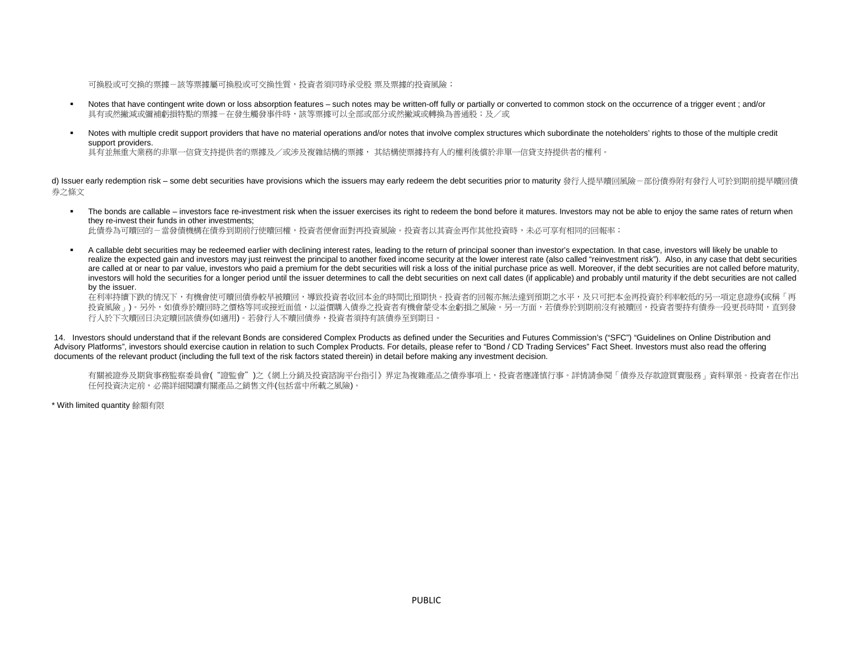可換股或可交換的票據-該等票據屬可換股或可交換性質,投資者須同時承受股 票及票據的投資風險;

- Notes that have contingent write down or loss absorption features such notes may be written-off fully or partially or converted to common stock on the occurrence of a trigger event; and/or 具有或然撇減或彌補虧捐特點的票據-在發生觸發事件時,該等票據可以全部或部分或然撇減或轉換為普通股;及/或
- Notes with multiple credit support providers that have no material operations and/or notes that involve complex structures which subordinate the noteholders' rights to those of the multiple credit support providers.

具有並無重大業務的非單一信貸支持提供者的票據及/或涉及複雜結構的票據, 其結構使票據持有人的權利後償於非單一信貸支持提供者的權利。

d) Issuer early redemption risk – some debt securities have provisions which the issuers may early redeem the debt securities prior to maturity 發行人提早贖回風險-部份債券附有發行人可於到期前提早贖回債 券之條文

" The bonds are callable – investors face re-investment risk when the issuer exercises its right to redeem the bond before it matures. Investors may not be able to enjoy the same rates of return when they re-invest their funds in other investments;

此債券為可贖回的-當發債機構在債券到期前行使贖回權,投資者便會面對再投資風險。投資者以其資金再作其他投資時,未必可享有相同的回報率;

A callable debt securities may be redeemed earlier with declining interest rates, leading to the return of principal sooner than investor's expectation. In that case, investors will likely be unable to realize the expected gain and investors may just reinvest the principal to another fixed income security at the lower interest rate (also called "reinvestment risk"). Also, in any case that debt securities are called at or near to par value, investors who paid a premium for the debt securities will risk a loss of the initial purchase price as well. Moreover, if the debt securities are not called before maturity, investors will hold the securities for a longer period until the issuer determines to call the debt securities on next call dates (if applicable) and probably until maturity if the debt securities are not called by the issuer.

在利率持續下跌的情況下,有機會使可贖回債券較早被贖回,導致投資者收回本金的時間比預期快。投資者的回報亦無法達到預期之水平,及只可把本金再投資於利率較低的另一項定息證券(或稱「再 投資風險」)。另外,如債券於贖回時之價格等同或接近面值,以溢價購入債券之投資者有機會蒙受本金虧損之風險。另一方面,若債券於到期前沒有被贖回,投資者要持有債券一段更長時間,直到發 行人於下次贖回日決定贖回該債券(如適用)。若發行人不贖回債券,投資者須持有該債券至到期日。

14. Investors should understand that if the relevant Bonds are considered Complex Products as defined under the Securities and Futures Commission's ("SFC") "Guidelines on Online Distribution and Advisory Platforms", investors should exercise caution in relation to such Complex Products. For details, please refer to "Bond / CD Trading Services" Fact Sheet. Investors must also read the offering documents of the relevant product (including the full text of the risk factors stated therein) in detail before making any investment decision.

有關被證券及期貨事務監察委員會("證監會")之《網上分銷及投資諮詢平台指引》界定為複雜產品之債券事項上,投資者應謹慎行事。詳情請參閱「債券及存款證買賣服務」資料單張。投資者在作出 任何投資決定前,必需詳細閱讀有關產品之銷售文件(包括當中所載之風險)。

\* With limited quantity 餘額有限